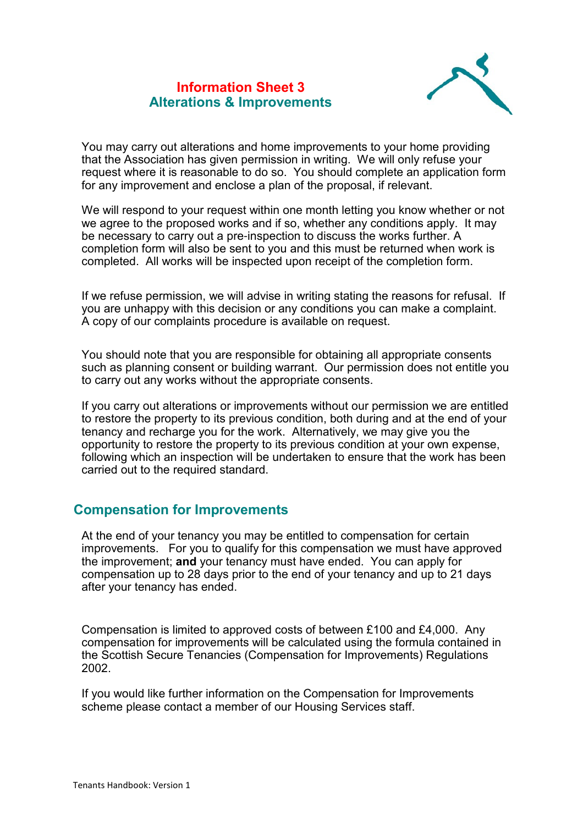# **Information Sheet 3 Alterations & Improvements**



You may carry out alterations and home improvements to your home providing that the Association has given permission in writing. We will only refuse your request where it is reasonable to do so. You should complete an application form for any improvement and enclose a plan of the proposal, if relevant.

We will respond to your request within one month letting you know whether or not we agree to the proposed works and if so, whether any conditions apply. It may be necessary to carry out a pre-inspection to discuss the works further. A completion form will also be sent to you and this must be returned when work is completed. All works will be inspected upon receipt of the completion form.

If we refuse permission, we will advise in writing stating the reasons for refusal. If you are unhappy with this decision or any conditions you can make a complaint. A copy of our complaints procedure is available on request.

You should note that you are responsible for obtaining all appropriate consents such as planning consent or building warrant. Our permission does not entitle you to carry out any works without the appropriate consents.

If you carry out alterations or improvements without our permission we are entitled to restore the property to its previous condition, both during and at the end of your tenancy and recharge you for the work. Alternatively, we may give you the opportunity to restore the property to its previous condition at your own expense, following which an inspection will be undertaken to ensure that the work has been carried out to the required standard.

### **Compensation for Improvements**

At the end of your tenancy you may be entitled to compensation for certain improvements. For you to qualify for this compensation we must have approved the improvement; **and** your tenancy must have ended. You can apply for compensation up to 28 days prior to the end of your tenancy and up to 21 days after your tenancy has ended.

Compensation is limited to approved costs of between £100 and £4,000. Any compensation for improvements will be calculated using the formula contained in the Scottish Secure Tenancies (Compensation for Improvements) Regulations 2002.

If you would like further information on the Compensation for Improvements scheme please contact a member of our Housing Services staff.